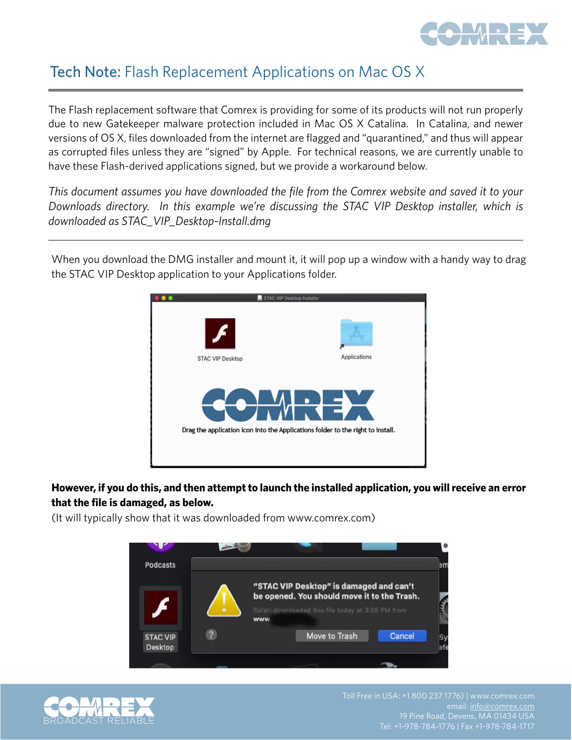

## Tech Note: Flash Replacement Applications on Mac OS X

The Flash replacement software that Comrex is providing for some of its products will not run properly due to new Gatekeeper malware protection included in Mac OS X Catalina. In Catalina, and newer versions of OS X, files downloaded from the internet are flagged and "quarantined," and thus will appear as corrupted files unless they are "signed" by Apple. For technical reasons, we are currently unable to have these Flash-derived applications signed, but we provide a workaround below.

*This document assumes you have downloaded the file from the Comrex website and saved it to your Downloads directory. In this example we're discussing the STAC VIP Desktop installer, which is downloaded as STAC\_VIP\_Desktop-Install.dmg*

When you download the DMG installer and mount it, it will pop up a window with a handy way to drag the STAC VIP Desktop application to your Applications folder.



**However, if you do this, and then attempt to launch the installed application, you will receive an error that the file is damaged, as below.** 

(It will typically show that it was downloaded from www.comrex.com)



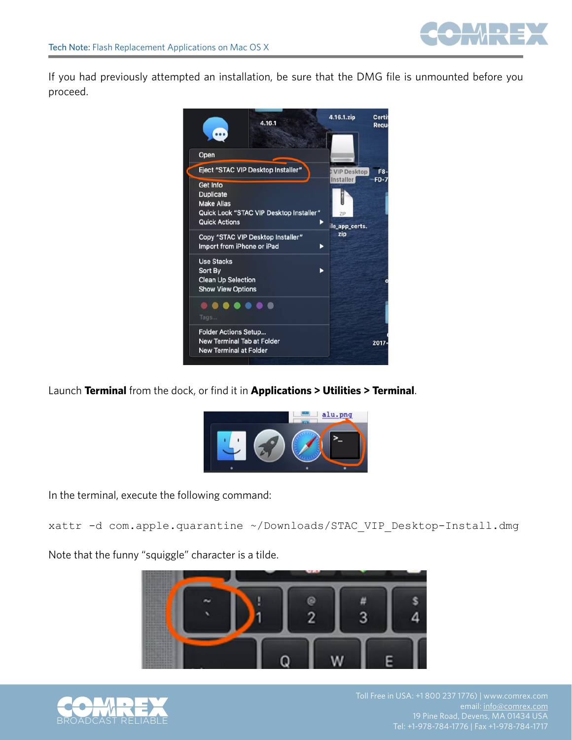

If you had previously attempted an installation, be sure that the DMG file is unmounted before you proceed.



Launch **Terminal** from the dock, or find it in **Applications > Utilities > Terminal**.



In the terminal, execute the following command:

xattr -d com.apple.quarantine ~/Downloads/STAC\_VIP\_Desktop-Install.dmg

Note that the funny "squiggle" character is a tilde.





email: [info@comrex.com](mailto:info@comrex.com)